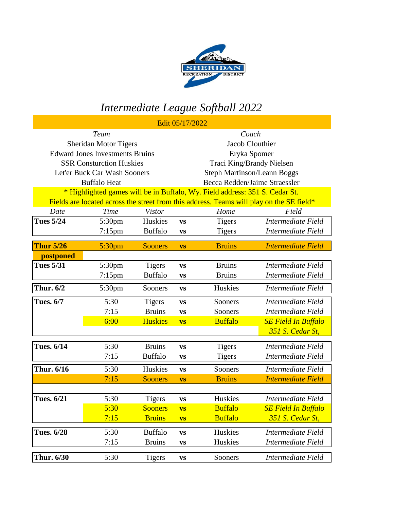

## *Intermediate League Softball 2022*

|                                                                                          |                    |                | Edit 05/17/2022                    |                |                            |  |
|------------------------------------------------------------------------------------------|--------------------|----------------|------------------------------------|----------------|----------------------------|--|
| <b>Team</b>                                                                              |                    |                | Coach                              |                |                            |  |
| <b>Sheridan Motor Tigers</b>                                                             |                    |                | Jacob Clouthier                    |                |                            |  |
| <b>Edward Jones Investments Bruins</b>                                                   |                    |                | Eryka Spomer                       |                |                            |  |
| <b>SSR Consturction Huskies</b>                                                          |                    |                | Traci King/Brandy Nielsen          |                |                            |  |
| Let'er Buck Car Wash Sooners                                                             |                    |                | <b>Steph Martinson/Leann Boggs</b> |                |                            |  |
| <b>Buffalo Heat</b>                                                                      |                    |                | Becca Redden/Jaime Straessler      |                |                            |  |
| * Highlighted games will be in Buffalo, Wy. Field address: 351 S. Cedar St.              |                    |                |                                    |                |                            |  |
| Fields are located across the street from this address. Teams will play on the SE field* |                    |                |                                    |                |                            |  |
| Date                                                                                     | Time               | <b>Vistor</b>  |                                    | Home           | Field                      |  |
| <b>Tues 5/24</b>                                                                         | 5:30pm             | Huskies        | <b>VS</b>                          | <b>Tigers</b>  | Intermediate Field         |  |
|                                                                                          | $7:15$ pm          | <b>Buffalo</b> | <b>VS</b>                          | <b>Tigers</b>  | Intermediate Field         |  |
| <b>Thur 5/26</b>                                                                         | 5:30 <sub>pm</sub> | <b>Sooners</b> | <b>VS</b>                          | <b>Bruins</b>  | <b>Intermediate Field</b>  |  |
| postponed                                                                                |                    |                |                                    |                |                            |  |
| <b>Tues 5/31</b>                                                                         | 5:30pm             | <b>Tigers</b>  | <b>VS</b>                          | <b>Bruins</b>  | Intermediate Field         |  |
|                                                                                          | $7:15$ pm          | <b>Buffalo</b> | <b>VS</b>                          | <b>Bruins</b>  | Intermediate Field         |  |
|                                                                                          |                    |                |                                    |                |                            |  |
| <b>Thur. 6/2</b>                                                                         | 5:30pm             | Sooners        | <b>VS</b>                          | Huskies        | Intermediate Field         |  |
| <b>Tues. 6/7</b>                                                                         | 5:30               | <b>Tigers</b>  | <b>VS</b>                          | Sooners        | Intermediate Field         |  |
|                                                                                          | 7:15               | <b>Bruins</b>  | <b>VS</b>                          | Sooners        | Intermediate Field         |  |
|                                                                                          | 6:00               | <b>Huskies</b> | <b>VS</b>                          | <b>Buffalo</b> | <b>SE Field In Buffalo</b> |  |
|                                                                                          |                    |                |                                    |                | 351 S. Cedar St,           |  |
| <b>Tues. 6/14</b>                                                                        | 5:30               | <b>Bruins</b>  | <b>VS</b>                          | <b>Tigers</b>  | Intermediate Field         |  |
|                                                                                          | 7:15               | <b>Buffalo</b> | VS                                 | <b>Tigers</b>  | Intermediate Field         |  |
|                                                                                          |                    |                |                                    |                |                            |  |
| Thur. 6/16                                                                               | 5:30               | Huskies        | <b>VS</b>                          | Sooners        | Intermediate Field         |  |
|                                                                                          | 7:15               | <b>Sooners</b> | <b>VS</b>                          | <b>Bruins</b>  | <b>Intermediate Field</b>  |  |
|                                                                                          |                    |                |                                    |                |                            |  |
| <b>Tues. 6/21</b>                                                                        | 5:30               | <b>Tigers</b>  | <b>VS</b>                          | Huskies        | Intermediate Field         |  |
|                                                                                          | 5:30               | <b>Sooners</b> | <b>VS</b>                          | <b>Buffalo</b> | <b>SE Field In Buffalo</b> |  |
|                                                                                          | 7:15               | <b>Bruins</b>  | <b>VS</b>                          | <b>Buffalo</b> | 351 S. Cedar St,           |  |
| <b>Tues. 6/28</b>                                                                        | 5:30               | <b>Buffalo</b> | $\mathbf{VS}$                      | Huskies        | Intermediate Field         |  |
|                                                                                          | 7:15               | <b>Bruins</b>  | <b>VS</b>                          | Huskies        | Intermediate Field         |  |
| Thur. 6/30                                                                               | 5:30               | <b>Tigers</b>  | $\boldsymbol{\mathrm{VS}}$         | Sooners        | Intermediate Field         |  |